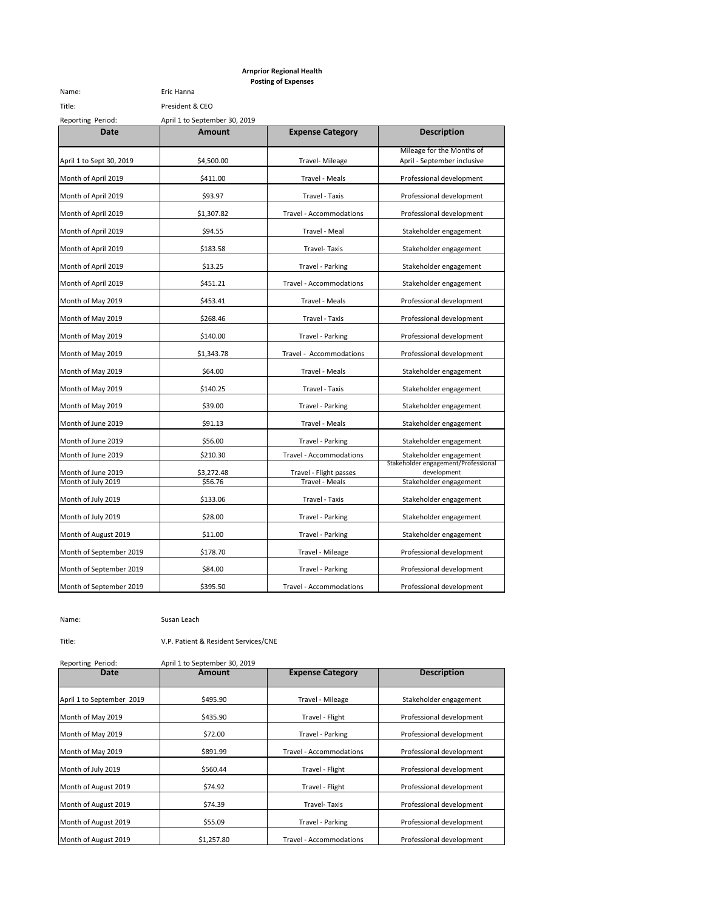|                          |                               | <b>Posting of Expenses</b> |                                                          |
|--------------------------|-------------------------------|----------------------------|----------------------------------------------------------|
| Name:                    | Eric Hanna                    |                            |                                                          |
| Title:                   | President & CEO               |                            |                                                          |
| Reporting Period:        | April 1 to September 30, 2019 |                            |                                                          |
| Date                     | <b>Amount</b>                 | <b>Expense Category</b>    | <b>Description</b>                                       |
| April 1 to Sept 30, 2019 | \$4,500.00                    | Travel- Mileage            | Mileage for the Months of<br>April - September inclusive |
| Month of April 2019      | \$411.00                      | Travel - Meals             | Professional development                                 |
| Month of April 2019      | \$93.97                       | Travel - Taxis             | Professional development                                 |
| Month of April 2019      | \$1,307.82                    | Travel - Accommodations    | Professional development                                 |
| Month of April 2019      | \$94.55                       | Travel - Meal              | Stakeholder engagement                                   |
| Month of April 2019      | \$183.58                      | Travel-Taxis               | Stakeholder engagement                                   |
| Month of April 2019      | \$13.25                       | Travel - Parking           | Stakeholder engagement                                   |
| Month of April 2019      | \$451.21                      | Travel - Accommodations    | Stakeholder engagement                                   |
| Month of May 2019        | \$453.41                      | Travel - Meals             | Professional development                                 |
| Month of May 2019        | \$268.46                      | Travel - Taxis             | Professional development                                 |
| Month of May 2019        | \$140.00                      | Travel - Parking           | Professional development                                 |
| Month of May 2019        | \$1,343.78                    | Travel - Accommodations    | Professional development                                 |
| Month of May 2019        | \$64.00                       | Travel - Meals             | Stakeholder engagement                                   |
| Month of May 2019        | \$140.25                      | Travel - Taxis             | Stakeholder engagement                                   |
| Month of May 2019        | \$39.00                       | Travel - Parking           | Stakeholder engagement                                   |
| Month of June 2019       | \$91.13                       | Travel - Meals             | Stakeholder engagement                                   |
| Month of June 2019       | \$56.00                       | Travel - Parking           | Stakeholder engagement                                   |
| Month of June 2019       | \$210.30                      | Travel - Accommodations    | Stakeholder engagement                                   |
| Month of June 2019       | \$3,272.48                    | Travel - Flight passes     | Stakeholder engagement/Professional<br>development       |
| Month of July 2019       | \$56.76                       | <b>Travel - Meals</b>      | Stakeholder engagement                                   |
| Month of July 2019       | \$133.06                      | Travel - Taxis             | Stakeholder engagement                                   |
| Month of July 2019       | \$28.00                       | Travel - Parking           | Stakeholder engagement                                   |
| Month of August 2019     | \$11.00                       | Travel - Parking           | Stakeholder engagement                                   |
| Month of September 2019  | \$178.70                      | Travel - Mileage           | Professional development                                 |
| Month of September 2019  | \$84.00                       | Travel - Parking           | Professional development                                 |
| Month of September 2019  | \$395.50                      | Travel - Accommodations    | Professional development                                 |

**Arnprior Regional Health**

Name: Susan Leach

Title: V.P. Patient & Resident Services/CNE

| Reporting Period:         | April 1 to September 30, 2019 |                         |                          |
|---------------------------|-------------------------------|-------------------------|--------------------------|
| Date                      | Amount                        | <b>Expense Category</b> | <b>Description</b>       |
| April 1 to September 2019 | \$495.90                      | Travel - Mileage        | Stakeholder engagement   |
| Month of May 2019         | \$435.90                      | Travel - Flight         | Professional development |
| Month of May 2019         | \$72.00                       | Travel - Parking        | Professional development |
| Month of May 2019         | \$891.99                      | Travel - Accommodations | Professional development |
| Month of July 2019        | \$560.44                      | Travel - Flight         | Professional development |
| Month of August 2019      | \$74.92                       | Travel - Flight         | Professional development |
| Month of August 2019      | \$74.39                       | Travel-Taxis            | Professional development |
| Month of August 2019      | \$55.09                       | Travel - Parking        | Professional development |
| Month of August 2019      | \$1,257.80                    | Travel - Accommodations | Professional development |